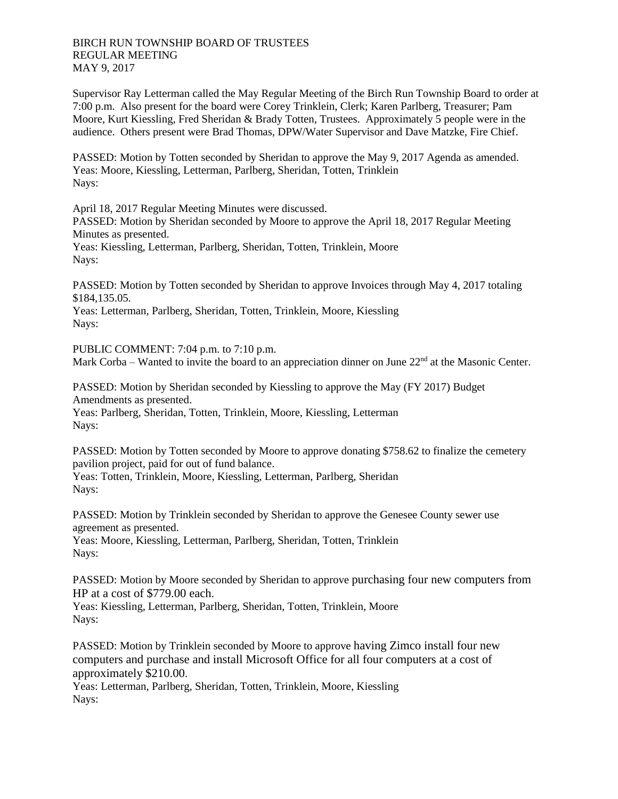Supervisor Ray Letterman called the May Regular Meeting of the Birch Run Township Board to order at 7:00 p.m. Also present for the board were Corey Trinklein, Clerk; Karen Parlberg, Treasurer; Pam Moore, Kurt Kiessling, Fred Sheridan & Brady Totten, Trustees. Approximately 5 people were in the audience. Others present were Brad Thomas, DPW/Water Supervisor and Dave Matzke, Fire Chief.

PASSED: Motion by Totten seconded by Sheridan to approve the May 9, 2017 Agenda as amended. Yeas: Moore, Kiessling, Letterman, Parlberg, Sheridan, Totten, Trinklein Nays:

April 18, 2017 Regular Meeting Minutes were discussed.

PASSED: Motion by Sheridan seconded by Moore to approve the April 18, 2017 Regular Meeting Minutes as presented.

Yeas: Kiessling, Letterman, Parlberg, Sheridan, Totten, Trinklein, Moore Nays:

PASSED: Motion by Totten seconded by Sheridan to approve Invoices through May 4, 2017 totaling \$184,135.05.

Yeas: Letterman, Parlberg, Sheridan, Totten, Trinklein, Moore, Kiessling Nays:

PUBLIC COMMENT: 7:04 p.m. to 7:10 p.m. Mark Corba – Wanted to invite the board to an appreciation dinner on June  $22<sup>nd</sup>$  at the Masonic Center.

PASSED: Motion by Sheridan seconded by Kiessling to approve the May (FY 2017) Budget Amendments as presented. Yeas: Parlberg, Sheridan, Totten, Trinklein, Moore, Kiessling, Letterman Nays:

PASSED: Motion by Totten seconded by Moore to approve donating \$758.62 to finalize the cemetery pavilion project, paid for out of fund balance.

Yeas: Totten, Trinklein, Moore, Kiessling, Letterman, Parlberg, Sheridan Nays:

PASSED: Motion by Trinklein seconded by Sheridan to approve the Genesee County sewer use agreement as presented. Yeas: Moore, Kiessling, Letterman, Parlberg, Sheridan, Totten, Trinklein

Nays:

PASSED: Motion by Moore seconded by Sheridan to approve purchasing four new computers from HP at a cost of \$779.00 each.

Yeas: Kiessling, Letterman, Parlberg, Sheridan, Totten, Trinklein, Moore Nays:

PASSED: Motion by Trinklein seconded by Moore to approve having Zimco install four new computers and purchase and install Microsoft Office for all four computers at a cost of approximately \$210.00.

Yeas: Letterman, Parlberg, Sheridan, Totten, Trinklein, Moore, Kiessling Nays: